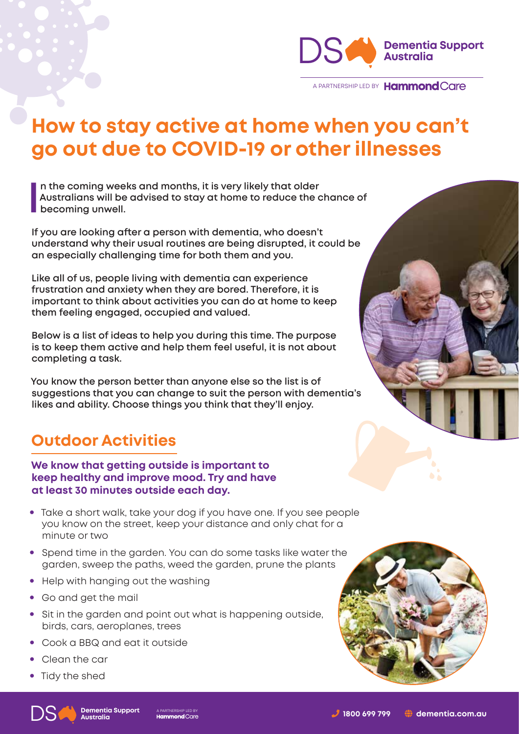

A PARTNERSHIP LED BY Hammond Care

# **How to stay active at home when you can't go out due to COVID-19 or other illnesses**

**I n the coming weeks and months, it is very likely that older Australians will be advised to stay at home to reduce the chance of becoming unwell.** 

**If you are looking after a person with dementia, who doesn't understand why their usual routines are being disrupted, it could be an especially challenging time for both them and you.**

**Like all of us, people living with dementia can experience frustration and anxiety when they are bored. Therefore, it is important to think about activities you can do at home to keep them feeling engaged, occupied and valued.** 

**Below is a list of ideas to help you during this time. The purpose is to keep them active and help them feel useful, it is not about completing a task.** 

**You know the person better than anyone else so the list is of suggestions that you can change to suit the person with dementia's likes and ability. Choose things you think that they'll enjoy.**

### **Outdoor Activities**

**We know that getting outside is important to keep healthy and improve mood. Try and have at least 30 minutes outside each day.**

- Take a short walk, take your dog if you have one. If you see people you know on the street, keep your distance and only chat for a minute or two
- Spend time in the garden. You can do some tasks like water the garden, sweep the paths, weed the garden, prune the plants
- Help with hanging out the washing
- Go and get the mail
- Sit in the garden and point out what is happening outside, birds, cars, aeroplanes, trees
- Cook a BBQ and eat it outside
- Clean the car
- Tidy the shed